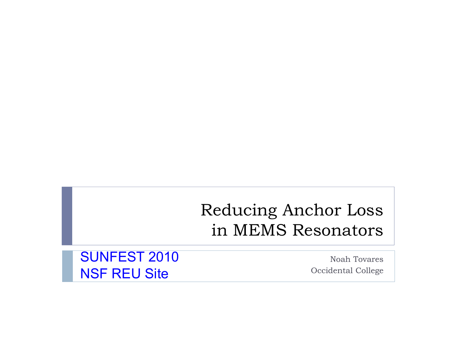### Reducing Anchor Loss in MEMS Resonators

SUNFEST 2010 NSF REU Site

Noah TovaresOccidental College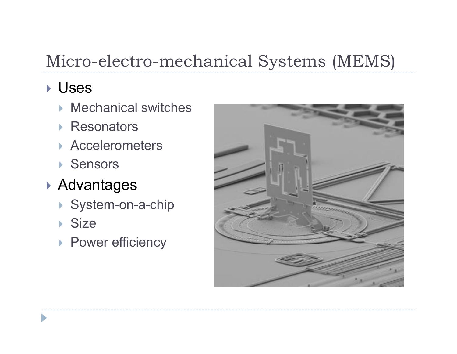# Micro-electro-mechanical Systems (MEMS)

### ` Uses

- $\triangleright$  Mechanical switches
- ▶ Resonators
- **Accelerometers**
- ▶ Sensors
- ▶ Advantages
	- ▶ System-on-a-chip
	- ▶ Size
	- **> Power efficiency**

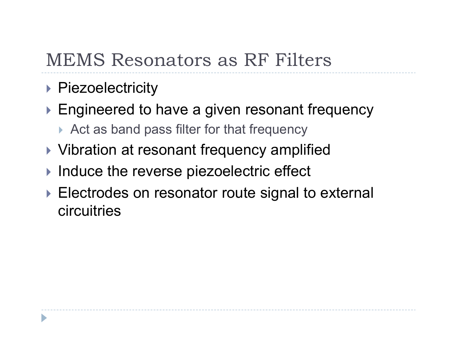## MEMS Resonators as RF Filters

- ▶ Piezoelectricity
- $\blacktriangleright$  Engineered to have a given resonant frequency
	- $\triangleright$  Act as band pass filter for that frequency
- ▶ Vibration at resonant frequency amplified
- $\blacktriangleright$  Induce the reverse piezoelectric effect
- $\blacktriangleright$  Electrodes on resonator route signal to external circuitries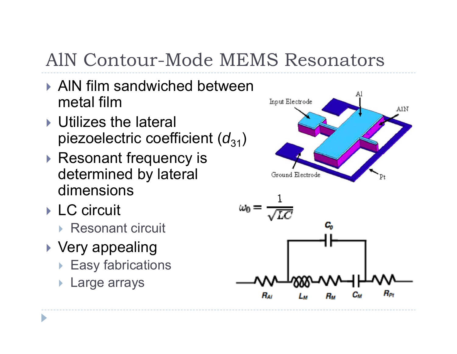# AlN Contour-Mode MEMS Resonators

- **AIN film sandwiched between** metal film
- $\triangleright$  Utilizes the lateral piezoelectric coefficient ( $d_{31}$ )
- $\blacktriangleright$  Resonant frequency is determined by lateral dimensions
- ▶ LC circuit
	- ▶ Resonant circuit
- $\blacktriangleright$  Very appealing
	- $\blacktriangleright$  Easy fabrications
	- $\blacktriangleright$ Large arrays



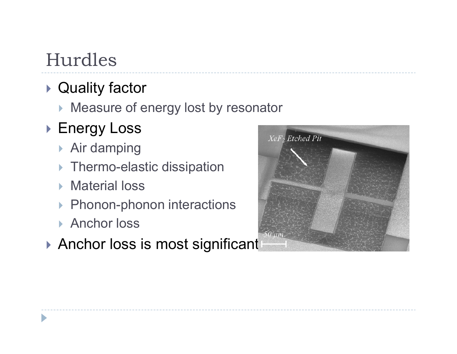# Hurdles

### $\blacktriangleright$  Quality factor

 $\blacktriangleright$  Measure of energy lost by resonator

## ▶ Energy Loss

- $\triangleright$  Air damping
- $\blacktriangleright$  Thermo-elastic dissipation
- ▶ Material loss
- ▶ Phonon-phonon interactions
- ▶ Anchor loss
- $\blacktriangleright$  Anchor loss is most significant

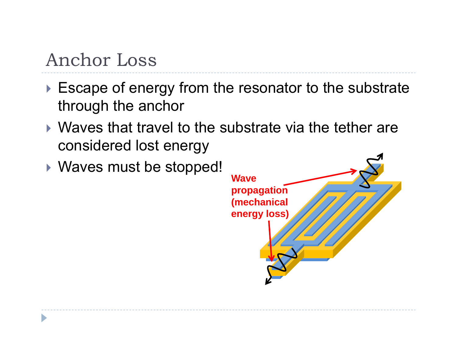## Anchor Loss

- $\blacktriangleright$  Escape of energy from the resonator to the substrate through the anchor
- $\blacktriangleright$  Waves that travel to the substrate via the tether are considered lost energy
- ` Waves must be stopped! **Wave**

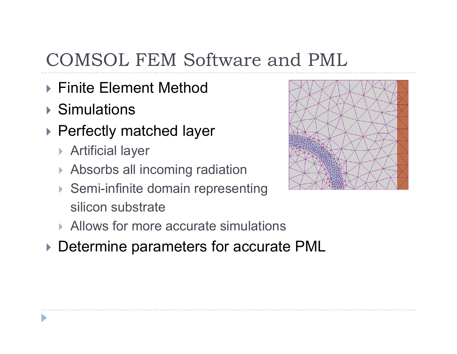# COMSOL FEM Software and PML

- ▶ Finite Element Method
- ▶ Simulations
- ▶ Perfectly matched layer
	- **Artificial layer**
	- $\blacktriangleright$  Absorbs all incoming radiation
	- ▶ Semi-infinite domain representing silicon substrate
	- ▶ Allows for more accurate simulations
- **Determine parameters for accurate PML**

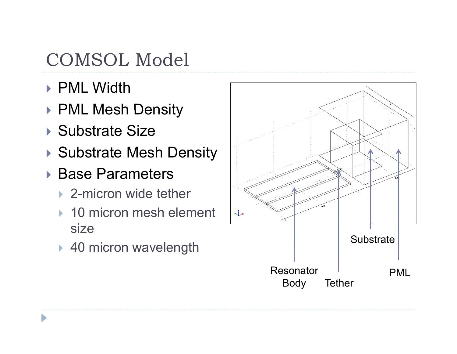# COMSOL Model

- ▶ PML Width
- ▶ PML Mesh Density
- ▶ Substrate Size
- ▶ Substrate Mesh Density
- ▶ Base Parameters
	- ▶ 2-micron wide tether
	- ▶ 10 micron mesh element size
	-

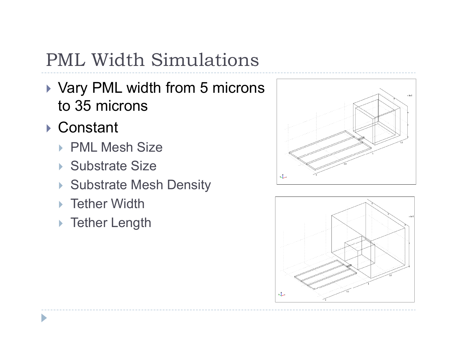# PML Width Simulations

- ▶ Vary PML width from 5 microns to 35 microns
- ▶ Constant
	- ▶ PML Mesh Size
	- ▶ Substrate Size
	- ▶ Substrate Mesh Density
	- $\blacktriangleright$  Tether Width
	- ▶ Tether Length



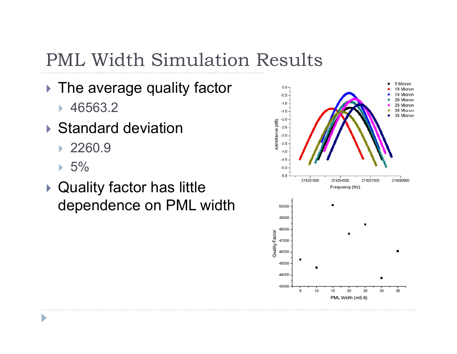## PML Width Simulation Results

### $\blacktriangleright$  The average quality factor

- $\blacktriangleright$  46563.2
- ▶ Standard deviation
	- ` 2260.9
	- $\,\,\blacktriangleright\,$  5%

D

 $\blacktriangleright$  Quality factor has little dependence on PML width

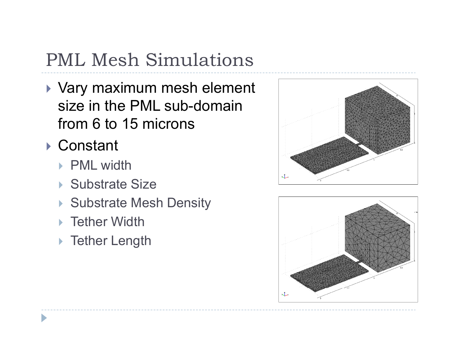# PML Mesh Simulations

- $\blacktriangleright$  Vary maximum mesh element size in the PML sub-domain from 6 to 15 microns
- ▶ Constant
	- ▶ PML width
	- ▶ Substrate Size
	- Substrate Mesh Density
	- ▶ Tether Width
	- ▶ Tether Length

![](_page_10_Figure_8.jpeg)

![](_page_10_Figure_9.jpeg)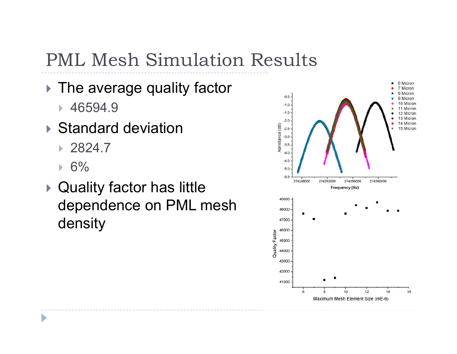## PML Mesh Simulation Results

#### $\blacktriangleright$  The average quality factor

- $\,\,\blacktriangleright\,$  46594.9
- ▶ Standard deviation
	- ` 2824.7
	- $\,\mathsf{F}\, 6\%$

D

 $\blacktriangleright$  Quality factor has little dependence on PML mesh density

![](_page_11_Figure_7.jpeg)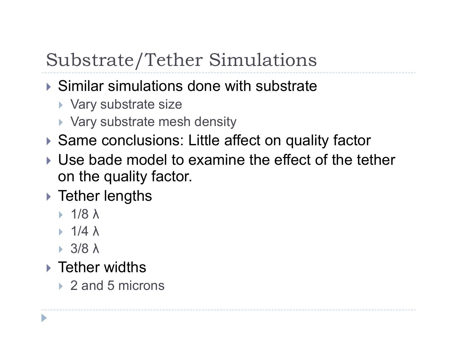# Substrate/Tether Simulations

- $\triangleright$  Similar simulations done with substrate
	- ▶ Vary substrate size
	- ▶ Vary substrate mesh density
- ▶ Same conclusions: Little affect on quality factor
- $\blacktriangleright$  Use bade model to examine the effect of the tether on the quality factor.
- $\blacktriangleright$  Tether lengths
	- $\blacktriangleright$  1/8  $\lambda$
	- $\triangleright$  1/4  $\lambda$
	- ` 3/8λ

D

- $\blacktriangleright$  Tether widths
	- ▶ 2 and 5 microns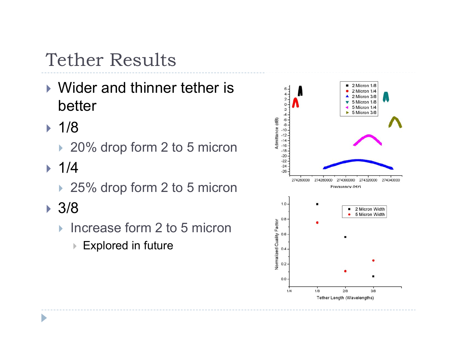# Tether Results

- $\blacktriangleright$  Wider and thinner tether is better
- ` 1/8
	- ▶ 20% drop form 2 to 5 micron
- ` 1/4
	- ▶ 25% drop form 2 to 5 micron
- ` 3/8
	- ▶ Increase form 2 to 5 micron
		- $\triangleright$  Explored in future

![](_page_13_Figure_9.jpeg)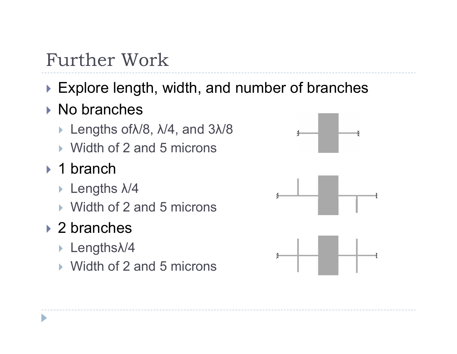# Further Work

### $\blacktriangleright$  Explore length, width, and number of branches

### ▶ No branches

- ` Lengths ofλ/8, λ/4, and 3λ/8
- ▶ Width of 2 and 5 microns

### ▶ 1 branch

- ` Lengths λ/4
- ▶ Width of 2 and 5 microns

## ▶ 2 branches

D

- $\triangleright$  Lengths $\lambda$ /4
- ▶ Width of 2 and 5 microns

![](_page_14_Figure_11.jpeg)

![](_page_14_Figure_12.jpeg)

![](_page_14_Figure_13.jpeg)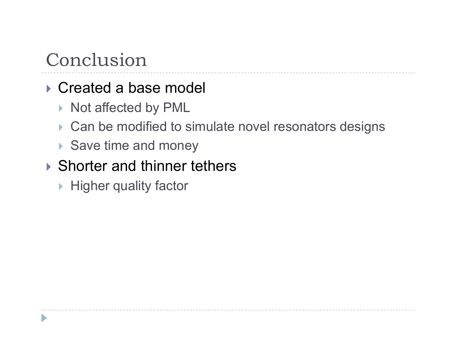# Conclusion

### ▶ Created a base model

- ▶ Not affected by PML
- $\triangleright$  Can be modified to simulate novel resonators designs
- ▶ Save time and money

### $\triangleright$  Shorter and thinner tethers

▶ Higher quality factor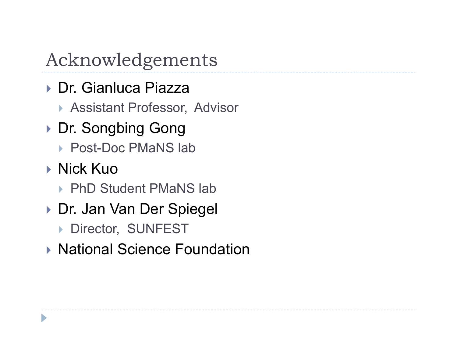# Acknowledgements

- ▶ Dr. Gianluca Piazza
	- ▶ Assistant Professor, Advisor
- ▶ Dr. Songbing Gong
	- ▶ Post-Doc PMaNS lab
- ▶ Nick Kuo
	- ▶ PhD Student PMaNS lab
- ▶ Dr. Jan Van Der Spiegel
	- **Director, SUNFEST**
- ▶ National Science Foundation